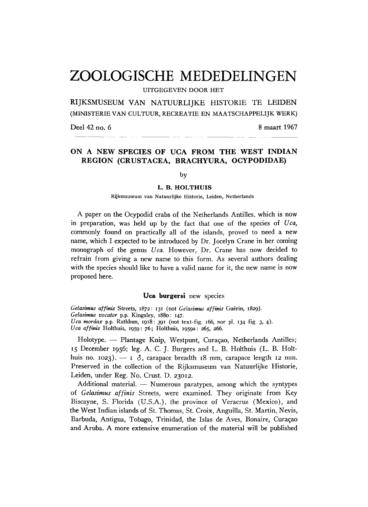# **ZOOLOGISCHE MEDEDELINGEN**

**UITGEGEVEN DOOR HET** 

RIJKSMUSEUM VAN NATUURLIJKE HISTORIE TE LEIDEN (MINISTERIE VAN CULTUUR, RECREATIE EN MAATSCHAPPELIJK WERK)

Deel 42 no. 6 8 maart 1967 deel 42 maart 1967 - 1967 - 1968 - 1968 - 1969 - 1968 - 1968 - 1968 - 1968 - 1969 - 1969 - 1969 - 1967 - 1967<br>Deel 42 maart 1967 - 1967 - 1967 - 1967 - 1967 - 1967 - 1967 - 1968 - 1969 - 1969 - 1969 - 1969 - 1969 - 1969

## **O N A N E W SPECIE S O F U C A FRO M T H E WES T INDIA N REGIO N (CRUSTACEA , BRACHYURA , OCYPODIDAE )**

by

#### **L . B . HOLTHUI S**

**Rijksmuseum van Natuurlijke Historie, Leiden, Netherlands**

A paper on the Ocypodid crabs of the Netherlands Antilles, which is now in preparation, was held up by the fact that one of the species of *Uca,* commonly found on practically all of the islands, proved to need a new name, which I expected to be introduced by Dr. Jocelyn Crane in her coming monograph of the genus *Uca*. However, Dr. Crane has now decided to refrain from giving a new name to this form. As several authors dealing with the species should like to have a valid name for it, the new name is now proposed here.

### **Uca burgersi** new species

*Gelasimus affinis* **Streets, 1872: 131 (not** *Gelasimus affinis* **Guérin, 1829).** *Gelasimus vocator* **p.p. Kingsley, 1880: 147.** *Uca mordax* **p.p. Rathbun, 1918: 391 (not text-fig. 166, nor pl. 134 fig. 3, 4).** *Uca affinis* **Holthuis, 1959: 76; Holthuis, 1959a: 265, 266.**

Holotype. — Plantage Knip, Westpunt, Curaçao, Netherlands Antilles; 15 December 1956; leg. A. C. J. Burgers and L. B. Holthuis (L. B. Holthuis no. 1023). — 1  $\delta$ , carapace breadth 18 mm, carapace length 12 mm. Preserved in the collection of the Rijksmuseum van Natuurlijke Historie, Leiden, under Reg. No. Crust. D. 23012.

Additional material. — Numerous paratypes, among which the syntypes of *Gelasimus affinis* Streets, were examined. They originate from Key Biscayne, S. Florida (U.S.A.), the province of Veracruz (Mexico), and the West Indian islands of St. Thomas, St. Croix, Anguilla, St. Martin, Nevis, Barbuda, Antigua, Tobago, Trinidad, the Islas de Aves, Bonaire, Curaçao and Aruba. A more extensive enumeration of the material will be published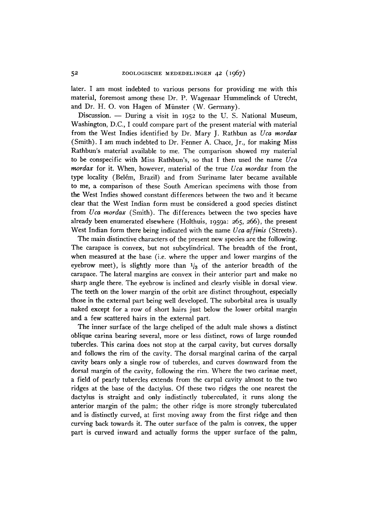later. I am most indebted to various persons for providing me with this material, foremost among these Dr. P. Wagenaar Hummelinck of Utrecht, and Dr. H. O. von Hagen of Münster (W. Germany).

Discussion. — During a visit in 1952 to the U.S. National Museum, Washington, D.C., I could compare part of the present material with material from the West Indies identified by Dr. Mary J. Rathbun as *Uca mordax* (Smith). I am much indebted to Dr. Fenner A. Chace, Jr., for making Miss Rathbun's material available to me. The comparison showed my material to be conspecific with Miss Rathbun's, so that I then used the name *Uca mordax* for it. When, however, material of the true *Uca mordax* from the type locality (Belém, Brazil) and from Suriname later became available to me, a comparison of these South American specimens with those from the West Indies showed constant differences between the two and it became clear that the West Indian form must be considered a good species distinct from *Uca mordax* (Smith). The differences between the two species have already been enumerated elsewhere (Holthuis, **1959a: 265, 266),** the present West Indian form there being indicated with the name *Uca affinis* (Streets).

The main distinctive characters of the present new species are the following. The carapace is convex, but not subcylindrical. The breadth of the front, when measured at the base (i.e. where the upper and lower margins of the eyebrow meet), is slightly more than  $\frac{1}{3}$  of the anterior breadth of the carapace. The lateral margins are convex in their anterior part and make no sharp angle there. The eyebrow is inclined and clearly visible in dorsal view. The teeth on the lower margin of the orbit are distinct throughout, especially those in the external part being well developed. The suborbital area is usually naked except for a row of short hairs just below the lower orbital margin and a few scattered hairs in the external part.

The inner surface of the large cheliped of the adult male shows a distinct oblique carina bearing several, more or less distinct, rows of large rounded tubercles. This carina does not stop at the carpal cavity, but curves dorsally and follows the rim of the cavity. The dorsal marginal carina of the carpal cavity bears only a single row of tubercles, and curves downward from the dorsal margin of the cavity, following the rim. Where the two carinae meet, a field of pearly tubercles extends from the carpal cavity almost to the two ridges at the base of the dactylus. Of these two ridges the one nearest the dactylus is straight and only indistinctly tuberculated, it runs along the anterior margin of the palm; the other ridge is more strongly tuberculated and is distinctly curved, at first moving away from the first ridge and then curving back towards it. The outer surface of the palm is convex, the upper part is curved inward and actually forms the upper surface of the palm,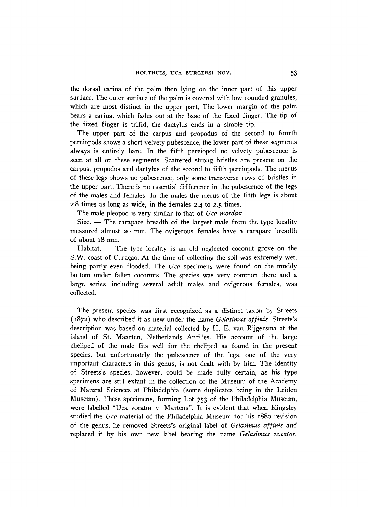the dorsal carina of the palm then lying on the inner part of this upper surface. The outer surface of the palm is covered with low rounded granules, which are most distinct in the upper part. The lower margin of the palm bears a carina, which fades out at the base of the fixed finger. The tip of the fixed finger is trifid, the dactylus ends in a simple tip.

The upper part of the carpus and propodus of the second to fourth pereiopods shows a short velvety pubescence, the lower part of these segments always is entirely bare. In the fifth pereiopod no velvety pubescence is seen at all on these segments. Scattered strong bristles are present on the carpus, propodus and dactylus of the second to fifth pereiopods. The merus of these legs shows no pubescence, only some transverse rows of bristles in the upper part. There is no essential difference in the pubescence of the legs of the males and females. In the males the merus of the fifth legs is about **2.8** times as long as wide, in the females **2.4** to **2.5** times.

The male pleopod is very similar to that of *Uca mordax.* 

Size. — The carapace breadth of the largest male from the type locality measured almost **20** mm. The ovigerous females have a carapace breadth of about **18** mm.

Habitat. — The type locality is an old neglected coconut grove on the S.W. coast of Curaçao. At the time of collecting the soil was extremely wet, being partly even flooded. The *Uca* specimens were found on the muddy bottom under fallen coconuts. The species was very common there and a large series, including several adult males and ovigerous females, was collected.

The present species was first recognized as a distinct taxon by Streets **(1872)** who described it as new under the name *Gelasimus affinis.* Streets's description was based on material collected by H. E. van Rijgersma at the island of St. Maarten, Netherlands Antilles. His account of the large cheliped of the male fits well for the cheliped as found in the present species, but unfortunately the pubescence of the legs, one of the very important characters in this genus, is not dealt with by him. The identity of Streets's species, however, could be made fully certain, as his type specimens are still extant in the collection of the Museum of the Academy of Natural Sciences at Philadelphia (some duplicates being in the Leiden Museum). These specimens, forming Lot **753** of the Philadelphia Museum, were labelled "Uca vocator v. Martens". It is evident that when Kingsley studied the *Uca* material of the Philadelphia Museum for his **1880** revision of the genus, he removed Streets's original label of *Gelasimus affinis* and replaced it by his own new label bearing the name *Gelasimus vocator.*